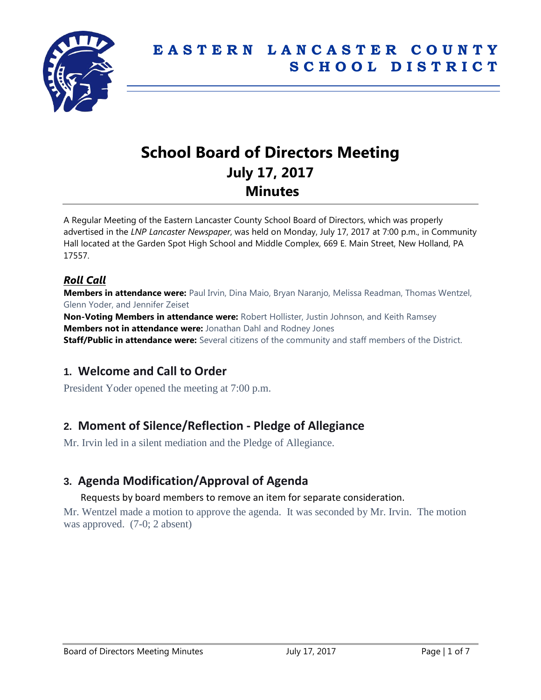

# **School Board of Directors Meeting July 17, 2017 Minutes**

A Regular Meeting of the Eastern Lancaster County School Board of Directors, which was properly advertised in the *LNP Lancaster Newspaper*, was held on Monday, July 17, 2017 at 7:00 p.m., in Community Hall located at the Garden Spot High School and Middle Complex, 669 E. Main Street, New Holland, PA 17557.

### *Roll Call*

**Members in attendance were:** Paul Irvin, Dina Maio, Bryan Naranjo, Melissa Readman, Thomas Wentzel, Glenn Yoder, and Jennifer Zeiset

**Non-Voting Members in attendance were:** Robert Hollister, Justin Johnson, and Keith Ramsey **Members not in attendance were:** Jonathan Dahl and Rodney Jones **Staff/Public in attendance were:** Several citizens of the community and staff members of the District.

### **1. Welcome and Call to Order**

President Yoder opened the meeting at 7:00 p.m.

### **2. Moment of Silence/Reflection - Pledge of Allegiance**

Mr. Irvin led in a silent mediation and the Pledge of Allegiance.

### **3. Agenda Modification/Approval of Agenda**

#### Requests by board members to remove an item for separate consideration.

Mr. Wentzel made a motion to approve the agenda. It was seconded by Mr. Irvin. The motion was approved. (7-0; 2 absent)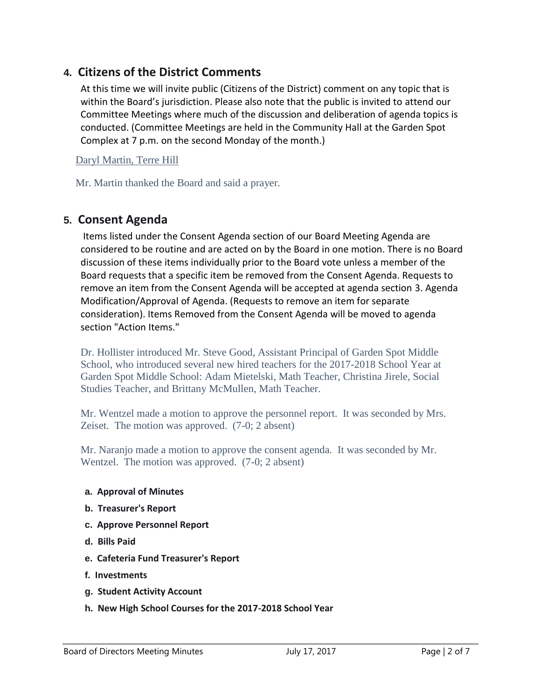### **4. Citizens of the District Comments**

At this time we will invite public (Citizens of the District) comment on any topic that is within the Board's jurisdiction. Please also note that the public is invited to attend our Committee Meetings where much of the discussion and deliberation of agenda topics is conducted. (Committee Meetings are held in the Community Hall at the Garden Spot Complex at 7 p.m. on the second Monday of the month.)

Daryl Martin, Terre Hill

Mr. Martin thanked the Board and said a prayer.

### **5. Consent Agenda**

Items listed under the Consent Agenda section of our Board Meeting Agenda are considered to be routine and are acted on by the Board in one motion. There is no Board discussion of these items individually prior to the Board vote unless a member of the Board requests that a specific item be removed from the Consent Agenda. Requests to remove an item from the Consent Agenda will be accepted at agenda section 3. Agenda Modification/Approval of Agenda. (Requests to remove an item for separate consideration). Items Removed from the Consent Agenda will be moved to agenda section "Action Items."

Dr. Hollister introduced Mr. Steve Good, Assistant Principal of Garden Spot Middle School, who introduced several new hired teachers for the 2017-2018 School Year at Garden Spot Middle School: Adam Mietelski, Math Teacher, Christina Jirele, Social Studies Teacher, and Brittany McMullen, Math Teacher.

Mr. Wentzel made a motion to approve the personnel report. It was seconded by Mrs. Zeiset. The motion was approved. (7-0; 2 absent)

Mr. Naranjo made a motion to approve the consent agenda. It was seconded by Mr. Wentzel. The motion was approved. (7-0; 2 absent)

- **a. Approval of Minutes**
- **b. Treasurer's Report**
- **c. Approve Personnel Report**
- **d. Bills Paid**
- **e. Cafeteria Fund Treasurer's Report**
- **f. Investments**
- **g. Student Activity Account**
- **h. New High School Courses for the 2017-2018 School Year**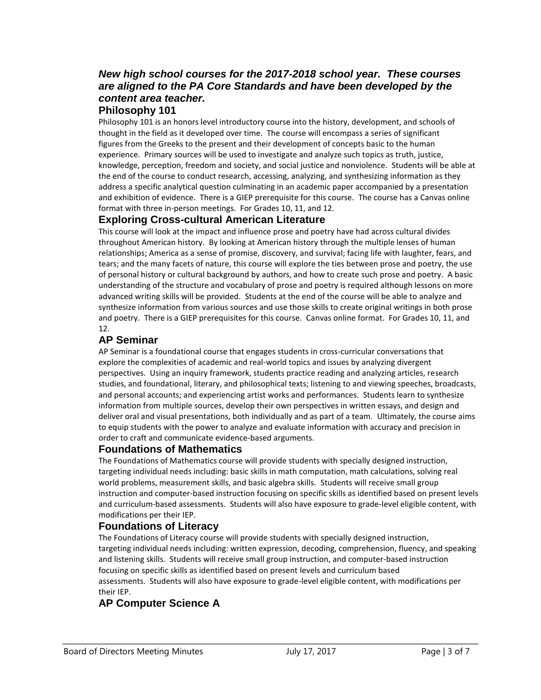### *New high school courses for the 2017-2018 school year. These courses are aligned to the PA Core Standards and have been developed by the content area teacher.*

#### **Philosophy 101**

Philosophy 101 is an honors level introductory course into the history, development, and schools of thought in the field as it developed over time. The course will encompass a series of significant figures from the Greeks to the present and their development of concepts basic to the human experience. Primary sources will be used to investigate and analyze such topics as truth, justice, knowledge, perception, freedom and society, and social justice and nonviolence. Students will be able at the end of the course to conduct research, accessing, analyzing, and synthesizing information as they address a specific analytical question culminating in an academic paper accompanied by a presentation and exhibition of evidence. There is a GIEP prerequisite for this course. The course has a Canvas online format with three in-person meetings. For Grades 10, 11, and 12.

#### **Exploring Cross-cultural American Literature**

This course will look at the impact and influence prose and poetry have had across cultural divides throughout American history. By looking at American history through the multiple lenses of human relationships; America as a sense of promise, discovery, and survival; facing life with laughter, fears, and tears; and the many facets of nature, this course will explore the ties between prose and poetry, the use of personal history or cultural background by authors, and how to create such prose and poetry. A basic understanding of the structure and vocabulary of prose and poetry is required although lessons on more advanced writing skills will be provided. Students at the end of the course will be able to analyze and synthesize information from various sources and use those skills to create original writings in both prose and poetry. There is a GIEP prerequisites for this course. Canvas online format. For Grades 10, 11, and 12.

#### **AP Seminar**

AP Seminar is a foundational course that engages students in cross-curricular conversations that explore the complexities of academic and real-world topics and issues by analyzing divergent perspectives. Using an inquiry framework, students practice reading and analyzing articles, research studies, and foundational, literary, and philosophical texts; listening to and viewing speeches, broadcasts, and personal accounts; and experiencing artist works and performances. Students learn to synthesize information from multiple sources, develop their own perspectives in written essays, and design and deliver oral and visual presentations, both individually and as part of a team. Ultimately, the course aims to equip students with the power to analyze and evaluate information with accuracy and precision in order to craft and communicate evidence-based arguments.

#### **Foundations of Mathematics**

The Foundations of Mathematics course will provide students with specially designed instruction, targeting individual needs including: basic skills in math computation, math calculations, solving real world problems, measurement skills, and basic algebra skills. Students will receive small group instruction and computer-based instruction focusing on specific skills as identified based on present levels and curriculum-based assessments. Students will also have exposure to grade-level eligible content, with modifications per their IEP.

#### **Foundations of Literacy**

The Foundations of Literacy course will provide students with specially designed instruction, targeting individual needs including: written expression, decoding, comprehension, fluency, and speaking and listening skills. Students will receive small group instruction, and computer-based instruction focusing on specific skills as identified based on present levels and curriculum based assessments. Students will also have exposure to grade-level eligible content, with modifications per their IEP.

### **AP Computer Science A**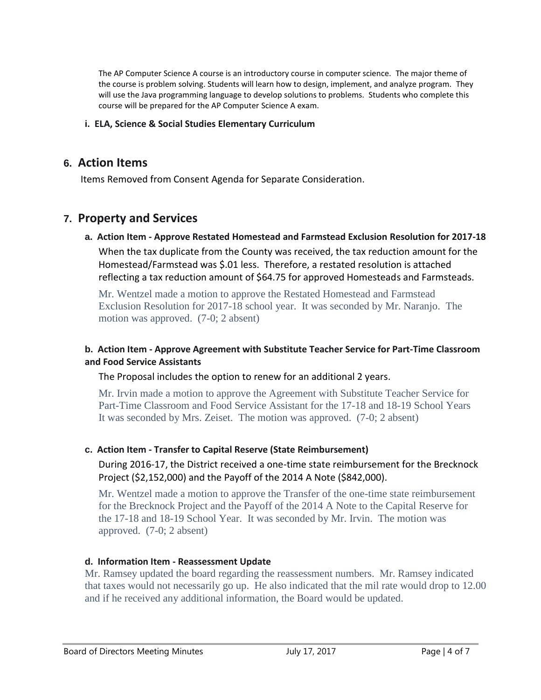The AP Computer Science A course is an introductory course in computer science. The major theme of the course is problem solving. Students will learn how to design, implement, and analyze program. They will use the Java programming language to develop solutions to problems. Students who complete this course will be prepared for the AP Computer Science A exam.

#### **i. ELA, Science & Social Studies Elementary Curriculum**

### **6. Action Items**

Items Removed from Consent Agenda for Separate Consideration.

### **7. Property and Services**

**a. Action Item - Approve Restated Homestead and Farmstead Exclusion Resolution for 2017-18** When the tax duplicate from the County was received, the tax reduction amount for the Homestead/Farmstead was \$.01 less. Therefore, a restated resolution is attached reflecting a tax reduction amount of \$64.75 for approved Homesteads and Farmsteads.

Mr. Wentzel made a motion to approve the Restated Homestead and Farmstead Exclusion Resolution for 2017-18 school year. It was seconded by Mr. Naranjo. The motion was approved. (7-0; 2 absent)

#### **b. Action Item - Approve Agreement with Substitute Teacher Service for Part-Time Classroom and Food Service Assistants**

The Proposal includes the option to renew for an additional 2 years.

Mr. Irvin made a motion to approve the Agreement with Substitute Teacher Service for Part-Time Classroom and Food Service Assistant for the 17-18 and 18-19 School Years It was seconded by Mrs. Zeiset. The motion was approved. (7-0; 2 absent)

#### **c. Action Item - Transfer to Capital Reserve (State Reimbursement)**

During 2016-17, the District received a one-time state reimbursement for the Brecknock Project (\$2,152,000) and the Payoff of the 2014 A Note (\$842,000).

Mr. Wentzel made a motion to approve the Transfer of the one-time state reimbursement for the Brecknock Project and the Payoff of the 2014 A Note to the Capital Reserve for the 17-18 and 18-19 School Year. It was seconded by Mr. Irvin. The motion was approved. (7-0; 2 absent)

#### **d. Information Item - Reassessment Update**

Mr. Ramsey updated the board regarding the reassessment numbers. Mr. Ramsey indicated that taxes would not necessarily go up. He also indicated that the mil rate would drop to 12.00 and if he received any additional information, the Board would be updated.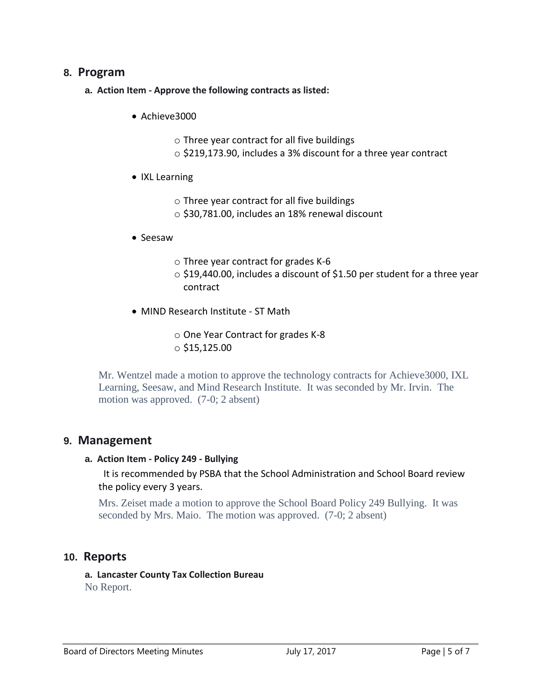### **8. Program**

- **a. Action Item - Approve the following contracts as listed:**
	- Achieve3000
		- o Three year contract for all five buildings
		- o \$219,173.90, includes a 3% discount for a three year contract
	- IXL Learning
		- o Three year contract for all five buildings
		- o \$30,781.00, includes an 18% renewal discount
	- Seesaw
		- o Three year contract for grades K-6
		- o \$19,440.00, includes a discount of \$1.50 per student for a three year contract
	- MIND Research Institute ST Math
		- o One Year Contract for grades K-8  $\circ$  \$15,125.00

Mr. Wentzel made a motion to approve the technology contracts for Achieve3000, IXL Learning, Seesaw, and Mind Research Institute. It was seconded by Mr. Irvin. The motion was approved. (7-0; 2 absent)

### **9. Management**

#### **a. Action Item - Policy 249 - Bullying**

It is recommended by PSBA that the School Administration and School Board review the policy every 3 years.

Mrs. Zeiset made a motion to approve the School Board Policy 249 Bullying. It was seconded by Mrs. Maio. The motion was approved. (7-0; 2 absent)

### **10. Reports**

**a. Lancaster County Tax Collection Bureau** No Report.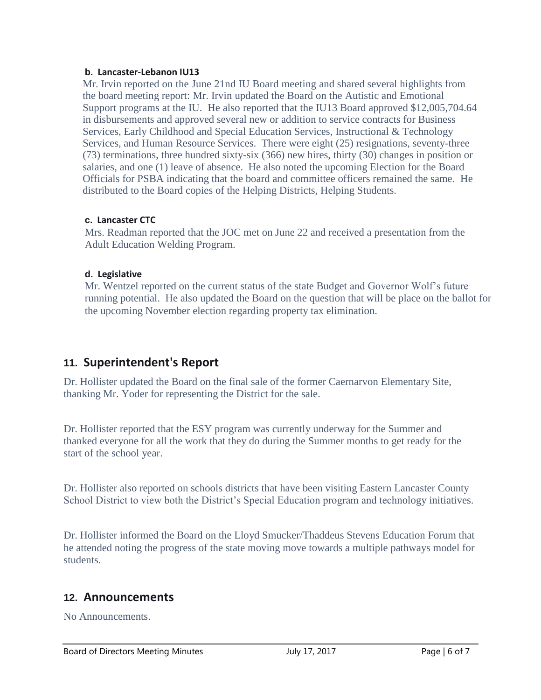#### **b. Lancaster-Lebanon IU13**

Mr. Irvin reported on the June 21nd IU Board meeting and shared several highlights from the board meeting report: Mr. Irvin updated the Board on the Autistic and Emotional Support programs at the IU. He also reported that the IU13 Board approved \$12,005,704.64 in disbursements and approved several new or addition to service contracts for Business Services, Early Childhood and Special Education Services, Instructional & Technology Services, and Human Resource Services. There were eight (25) resignations, seventy-three (73) terminations, three hundred sixty-six (366) new hires, thirty (30) changes in position or salaries, and one (1) leave of absence. He also noted the upcoming Election for the Board Officials for PSBA indicating that the board and committee officers remained the same. He distributed to the Board copies of the Helping Districts, Helping Students.

#### **c. Lancaster CTC**

Mrs. Readman reported that the JOC met on June 22 and received a presentation from the Adult Education Welding Program.

#### **d. Legislative**

Mr. Wentzel reported on the current status of the state Budget and Governor Wolf's future running potential. He also updated the Board on the question that will be place on the ballot for the upcoming November election regarding property tax elimination.

### **11. Superintendent's Report**

Dr. Hollister updated the Board on the final sale of the former Caernarvon Elementary Site, thanking Mr. Yoder for representing the District for the sale.

Dr. Hollister reported that the ESY program was currently underway for the Summer and thanked everyone for all the work that they do during the Summer months to get ready for the start of the school year.

Dr. Hollister also reported on schools districts that have been visiting Eastern Lancaster County School District to view both the District's Special Education program and technology initiatives.

Dr. Hollister informed the Board on the Lloyd Smucker/Thaddeus Stevens Education Forum that he attended noting the progress of the state moving move towards a multiple pathways model for students.

### **12. Announcements**

No Announcements.